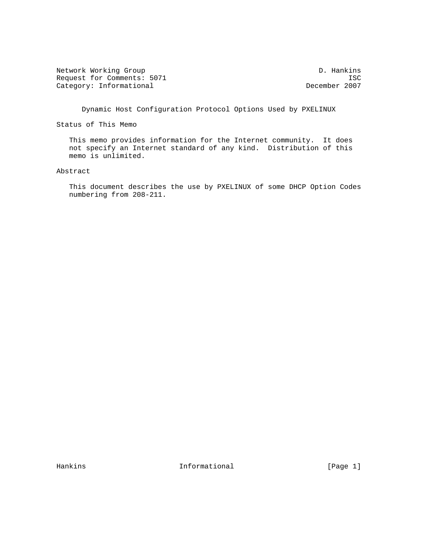Network Working Group D. Hankins Request for Comments: 5071 ISC<br>Category: Informational December 2007 Category: Informational

Dynamic Host Configuration Protocol Options Used by PXELINUX

Status of This Memo

 This memo provides information for the Internet community. It does not specify an Internet standard of any kind. Distribution of this memo is unlimited.

## Abstract

 This document describes the use by PXELINUX of some DHCP Option Codes numbering from 208-211.

Hankins **Informational Informational** [Page 1]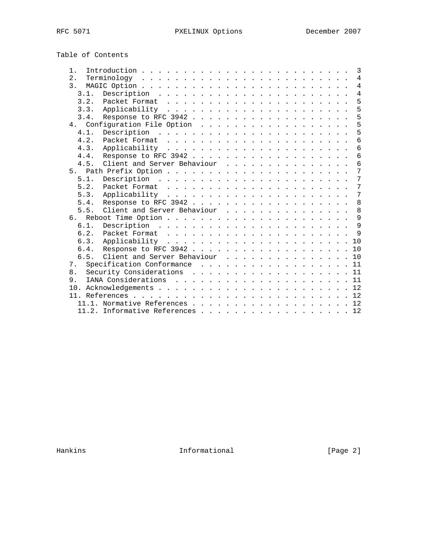Table of Contents

| $1$ .          |      |                                                                                                                                                                                                                                                                                                                                    |  |  |  |  |  |  |  |  |  | $\mathbf{3}$    |
|----------------|------|------------------------------------------------------------------------------------------------------------------------------------------------------------------------------------------------------------------------------------------------------------------------------------------------------------------------------------|--|--|--|--|--|--|--|--|--|-----------------|
| 2.             |      | $\mathbb{F}$ $\mathbb{F}$ $\mathbb{F}$ $\mathbb{F}$ $\mathbb{F}$ $\mathbb{F}$ $\mathbb{F}$ $\mathbb{F}$ $\mathbb{F}$ $\mathbb{F}$ $\mathbb{F}$ $\mathbb{F}$ $\mathbb{F}$ $\mathbb{F}$ $\mathbb{F}$ $\mathbb{F}$ $\mathbb{F}$ $\mathbb{F}$ $\mathbb{F}$ $\mathbb{F}$ $\mathbb{F}$ $\mathbb{F}$ $\mathbb{F}$ $\mathbb{F}$ $\mathbb{$ |  |  |  |  |  |  |  |  |  | $\overline{4}$  |
| 3 <sub>1</sub> |      |                                                                                                                                                                                                                                                                                                                                    |  |  |  |  |  |  |  |  |  | $\overline{4}$  |
|                | 3.1. |                                                                                                                                                                                                                                                                                                                                    |  |  |  |  |  |  |  |  |  | $\overline{4}$  |
|                | 3.2. |                                                                                                                                                                                                                                                                                                                                    |  |  |  |  |  |  |  |  |  | 5               |
|                | 3.3. |                                                                                                                                                                                                                                                                                                                                    |  |  |  |  |  |  |  |  |  | 5               |
|                | 3.4. |                                                                                                                                                                                                                                                                                                                                    |  |  |  |  |  |  |  |  |  | 5               |
|                |      |                                                                                                                                                                                                                                                                                                                                    |  |  |  |  |  |  |  |  |  | 5               |
|                | 4.1. |                                                                                                                                                                                                                                                                                                                                    |  |  |  |  |  |  |  |  |  | 5               |
|                | 4.2. |                                                                                                                                                                                                                                                                                                                                    |  |  |  |  |  |  |  |  |  | 6               |
|                | 4.3. |                                                                                                                                                                                                                                                                                                                                    |  |  |  |  |  |  |  |  |  | $6\,$           |
|                | 4.4. |                                                                                                                                                                                                                                                                                                                                    |  |  |  |  |  |  |  |  |  | $\overline{6}$  |
|                | 4.5. | Client and Server Behaviour                                                                                                                                                                                                                                                                                                        |  |  |  |  |  |  |  |  |  | $6\phantom{1}$  |
|                |      |                                                                                                                                                                                                                                                                                                                                    |  |  |  |  |  |  |  |  |  | $7\phantom{.0}$ |
|                | 5.1. |                                                                                                                                                                                                                                                                                                                                    |  |  |  |  |  |  |  |  |  | 7               |
|                | 5.2. |                                                                                                                                                                                                                                                                                                                                    |  |  |  |  |  |  |  |  |  | 7               |
|                | 5.3. |                                                                                                                                                                                                                                                                                                                                    |  |  |  |  |  |  |  |  |  | $7\phantom{.0}$ |
|                | 5.4. |                                                                                                                                                                                                                                                                                                                                    |  |  |  |  |  |  |  |  |  | 8               |
|                | 5.5. | Client and Server Behaviour                                                                                                                                                                                                                                                                                                        |  |  |  |  |  |  |  |  |  | 8               |
| რ.             |      |                                                                                                                                                                                                                                                                                                                                    |  |  |  |  |  |  |  |  |  | 9               |
|                | 6.1. |                                                                                                                                                                                                                                                                                                                                    |  |  |  |  |  |  |  |  |  | 9               |
|                | 6.2. |                                                                                                                                                                                                                                                                                                                                    |  |  |  |  |  |  |  |  |  | $\mathsf{Q}$    |
|                | 6.3. |                                                                                                                                                                                                                                                                                                                                    |  |  |  |  |  |  |  |  |  | 10              |
|                | 6.4. |                                                                                                                                                                                                                                                                                                                                    |  |  |  |  |  |  |  |  |  | 10              |
|                | 6.5. | Client and Server Behaviour                                                                                                                                                                                                                                                                                                        |  |  |  |  |  |  |  |  |  | 10              |
| 7.             |      |                                                                                                                                                                                                                                                                                                                                    |  |  |  |  |  |  |  |  |  | 11              |
| 8.             |      |                                                                                                                                                                                                                                                                                                                                    |  |  |  |  |  |  |  |  |  | 11              |
| 9.             |      |                                                                                                                                                                                                                                                                                                                                    |  |  |  |  |  |  |  |  |  | 11              |
| 10.            |      |                                                                                                                                                                                                                                                                                                                                    |  |  |  |  |  |  |  |  |  |                 |
|                |      |                                                                                                                                                                                                                                                                                                                                    |  |  |  |  |  |  |  |  |  |                 |
|                |      | 11.1. Normative References 12                                                                                                                                                                                                                                                                                                      |  |  |  |  |  |  |  |  |  |                 |
|                |      | 11.2. Informative References 12                                                                                                                                                                                                                                                                                                    |  |  |  |  |  |  |  |  |  |                 |

Hankins Informational [Page 2]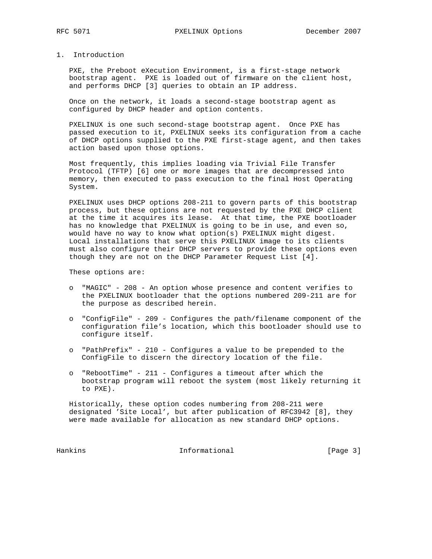# 1. Introduction

 PXE, the Preboot eXecution Environment, is a first-stage network bootstrap agent. PXE is loaded out of firmware on the client host, and performs DHCP [3] queries to obtain an IP address.

 Once on the network, it loads a second-stage bootstrap agent as configured by DHCP header and option contents.

 PXELINUX is one such second-stage bootstrap agent. Once PXE has passed execution to it, PXELINUX seeks its configuration from a cache of DHCP options supplied to the PXE first-stage agent, and then takes action based upon those options.

 Most frequently, this implies loading via Trivial File Transfer Protocol (TFTP) [6] one or more images that are decompressed into memory, then executed to pass execution to the final Host Operating System.

 PXELINUX uses DHCP options 208-211 to govern parts of this bootstrap process, but these options are not requested by the PXE DHCP client at the time it acquires its lease. At that time, the PXE bootloader has no knowledge that PXELINUX is going to be in use, and even so, would have no way to know what option(s) PXELINUX might digest. Local installations that serve this PXELINUX image to its clients must also configure their DHCP servers to provide these options even though they are not on the DHCP Parameter Request List [4].

These options are:

- o "MAGIC" 208 An option whose presence and content verifies to the PXELINUX bootloader that the options numbered 209-211 are for the purpose as described herein.
- o "ConfigFile" 209 Configures the path/filename component of the configuration file's location, which this bootloader should use to configure itself.
- o "PathPrefix" 210 Configures a value to be prepended to the ConfigFile to discern the directory location of the file.
- o "RebootTime" 211 Configures a timeout after which the bootstrap program will reboot the system (most likely returning it to PXE).

 Historically, these option codes numbering from 208-211 were designated 'Site Local', but after publication of RFC3942 [8], they were made available for allocation as new standard DHCP options.

Hankins 1nformational [Page 3]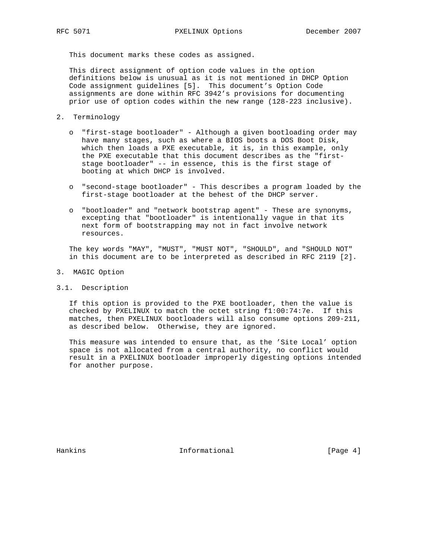This document marks these codes as assigned.

 This direct assignment of option code values in the option definitions below is unusual as it is not mentioned in DHCP Option Code assignment guidelines [5]. This document's Option Code assignments are done within RFC 3942's provisions for documenting prior use of option codes within the new range (128-223 inclusive).

- 2. Terminology
	- o "first-stage bootloader" Although a given bootloading order may have many stages, such as where a BIOS boots a DOS Boot Disk, which then loads a PXE executable, it is, in this example, only the PXE executable that this document describes as the "first stage bootloader" -- in essence, this is the first stage of booting at which DHCP is involved.
	- o "second-stage bootloader" This describes a program loaded by the first-stage bootloader at the behest of the DHCP server.
	- o "bootloader" and "network bootstrap agent" These are synonyms, excepting that "bootloader" is intentionally vague in that its next form of bootstrapping may not in fact involve network resources.

 The key words "MAY", "MUST", "MUST NOT", "SHOULD", and "SHOULD NOT" in this document are to be interpreted as described in RFC 2119 [2].

- 3. MAGIC Option
- 3.1. Description

 If this option is provided to the PXE bootloader, then the value is checked by PXELINUX to match the octet string f1:00:74:7e. If this matches, then PXELINUX bootloaders will also consume options 209-211, as described below. Otherwise, they are ignored.

 This measure was intended to ensure that, as the 'Site Local' option space is not allocated from a central authority, no conflict would result in a PXELINUX bootloader improperly digesting options intended for another purpose.

Hankins 10 1nformational 1999 (Page 4)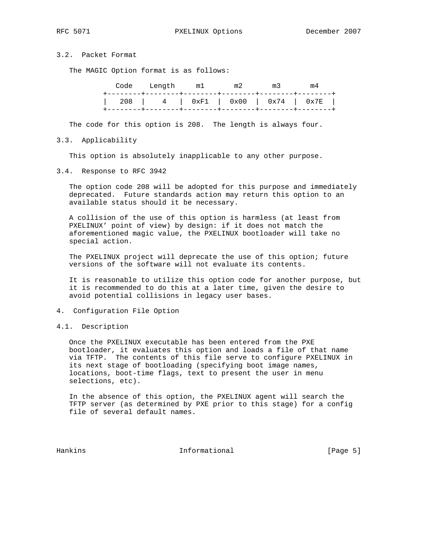# 3.2. Packet Format

The MAGIC Option format is as follows:

|  |  | Code Length m1 m2 m3 | m4                                  |
|--|--|----------------------|-------------------------------------|
|  |  |                      | 208   4   0xF1   0x00   0x74   0x7E |

The code for this option is 208. The length is always four.

3.3. Applicability

This option is absolutely inapplicable to any other purpose.

3.4. Response to RFC 3942

 The option code 208 will be adopted for this purpose and immediately deprecated. Future standards action may return this option to an available status should it be necessary.

 A collision of the use of this option is harmless (at least from PXELINUX' point of view) by design: if it does not match the aforementioned magic value, the PXELINUX bootloader will take no special action.

 The PXELINUX project will deprecate the use of this option; future versions of the software will not evaluate its contents.

 It is reasonable to utilize this option code for another purpose, but it is recommended to do this at a later time, given the desire to avoid potential collisions in legacy user bases.

- 4. Configuration File Option
- 4.1. Description

 Once the PXELINUX executable has been entered from the PXE bootloader, it evaluates this option and loads a file of that name via TFTP. The contents of this file serve to configure PXELINUX in its next stage of bootloading (specifying boot image names, locations, boot-time flags, text to present the user in menu selections, etc).

 In the absence of this option, the PXELINUX agent will search the TFTP server (as determined by PXE prior to this stage) for a config file of several default names.

Hankins 1nformational 1999 [Page 5]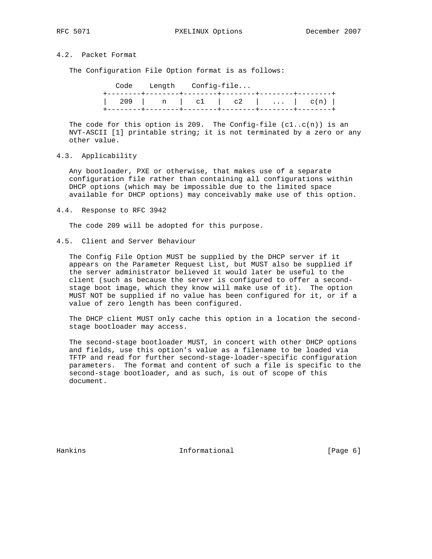# 4.2. Packet Format

The Configuration File Option format is as follows:

|  | Code Length Config-file |  |                             |  |
|--|-------------------------|--|-----------------------------|--|
|  |                         |  | 209   n   c1   c2      c(n) |  |
|  |                         |  |                             |  |

The code for this option is 209. The Config-file  $(cl..c(n))$  is an NVT-ASCII [1] printable string; it is not terminated by a zero or any other value.

4.3. Applicability

 Any bootloader, PXE or otherwise, that makes use of a separate configuration file rather than containing all configurations within DHCP options (which may be impossible due to the limited space available for DHCP options) may conceivably make use of this option.

4.4. Response to RFC 3942

The code 209 will be adopted for this purpose.

4.5. Client and Server Behaviour

 The Config File Option MUST be supplied by the DHCP server if it appears on the Parameter Request List, but MUST also be supplied if the server administrator believed it would later be useful to the client (such as because the server is configured to offer a second stage boot image, which they know will make use of it). The option MUST NOT be supplied if no value has been configured for it, or if a value of zero length has been configured.

 The DHCP client MUST only cache this option in a location the second stage bootloader may access.

 The second-stage bootloader MUST, in concert with other DHCP options and fields, use this option's value as a filename to be loaded via TFTP and read for further second-stage-loader-specific configuration parameters. The format and content of such a file is specific to the second-stage bootloader, and as such, is out of scope of this document.

Hankins 1nformational [Page 6]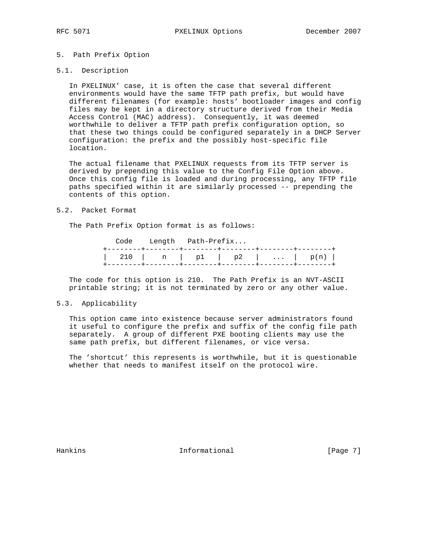# 5. Path Prefix Option

### 5.1. Description

 In PXELINUX' case, it is often the case that several different environments would have the same TFTP path prefix, but would have different filenames (for example: hosts' bootloader images and config files may be kept in a directory structure derived from their Media Access Control (MAC) address). Consequently, it was deemed worthwhile to deliver a TFTP path prefix configuration option, so that these two things could be configured separately in a DHCP Server configuration: the prefix and the possibly host-specific file location.

 The actual filename that PXELINUX requests from its TFTP server is derived by prepending this value to the Config File Option above. Once this config file is loaded and during processing, any TFTP file paths specified within it are similarly processed -- prepending the contents of this option.

#### 5.2. Packet Format

The Path Prefix Option format is as follows:

| 210   n   p1   p2      p(n) |  | Code Length Path-Prefix |  |  |
|-----------------------------|--|-------------------------|--|--|
|                             |  |                         |  |  |

 The code for this option is 210. The Path Prefix is an NVT-ASCII printable string; it is not terminated by zero or any other value.

# 5.3. Applicability

 This option came into existence because server administrators found it useful to configure the prefix and suffix of the config file path separately. A group of different PXE booting clients may use the same path prefix, but different filenames, or vice versa.

 The 'shortcut' this represents is worthwhile, but it is questionable whether that needs to manifest itself on the protocol wire.

Hankins 1nformational [Page 7]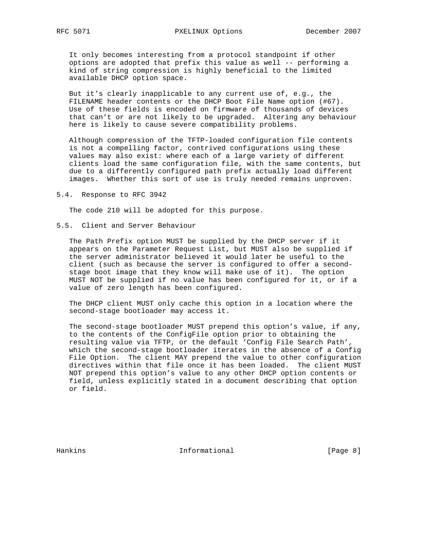It only becomes interesting from a protocol standpoint if other options are adopted that prefix this value as well -- performing a kind of string compression is highly beneficial to the limited available DHCP option space.

 But it's clearly inapplicable to any current use of, e.g., the FILENAME header contents or the DHCP Boot File Name option (#67). Use of these fields is encoded on firmware of thousands of devices that can't or are not likely to be upgraded. Altering any behaviour here is likely to cause severe compatibility problems.

 Although compression of the TFTP-loaded configuration file contents is not a compelling factor, contrived configurations using these values may also exist: where each of a large variety of different clients load the same configuration file, with the same contents, but due to a differently configured path prefix actually load different images. Whether this sort of use is truly needed remains unproven.

5.4. Response to RFC 3942

The code 210 will be adopted for this purpose.

## 5.5. Client and Server Behaviour

 The Path Prefix option MUST be supplied by the DHCP server if it appears on the Parameter Request List, but MUST also be supplied if the server administrator believed it would later be useful to the client (such as because the server is configured to offer a second stage boot image that they know will make use of it). The option MUST NOT be supplied if no value has been configured for it, or if a value of zero length has been configured.

 The DHCP client MUST only cache this option in a location where the second-stage bootloader may access it.

 The second-stage bootloader MUST prepend this option's value, if any, to the contents of the ConfigFile option prior to obtaining the resulting value via TFTP, or the default 'Config File Search Path', which the second-stage bootloader iterates in the absence of a Config File Option. The client MAY prepend the value to other configuration directives within that file once it has been loaded. The client MUST NOT prepend this option's value to any other DHCP option contents or field, unless explicitly stated in a document describing that option or field.

Hankins 1nformational [Page 8]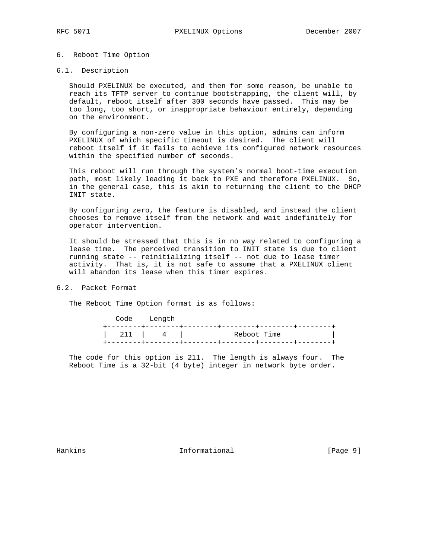# 6. Reboot Time Option

### 6.1. Description

 Should PXELINUX be executed, and then for some reason, be unable to reach its TFTP server to continue bootstrapping, the client will, by default, reboot itself after 300 seconds have passed. This may be too long, too short, or inappropriate behaviour entirely, depending on the environment.

 By configuring a non-zero value in this option, admins can inform PXELINUX of which specific timeout is desired. The client will reboot itself if it fails to achieve its configured network resources within the specified number of seconds.

 This reboot will run through the system's normal boot-time execution path, most likely leading it back to PXE and therefore PXELINUX. So, in the general case, this is akin to returning the client to the DHCP INIT state.

 By configuring zero, the feature is disabled, and instead the client chooses to remove itself from the network and wait indefinitely for operator intervention.

 It should be stressed that this is in no way related to configuring a lease time. The perceived transition to INIT state is due to client running state -- reinitializing itself -- not due to lease timer activity. That is, it is not safe to assume that a PXELINUX client will abandon its lease when this timer expires.

# 6.2. Packet Format

The Reboot Time Option format is as follows:

|  |  | Code Length |                       |             |  |  |
|--|--|-------------|-----------------------|-------------|--|--|
|  |  |             | 211 $\vert$ 4 $\vert$ | Reboot Time |  |  |
|  |  |             |                       |             |  |  |

 The code for this option is 211. The length is always four. The Reboot Time is a 32-bit (4 byte) integer in network byte order.

Hankins 1nformational [Page 9]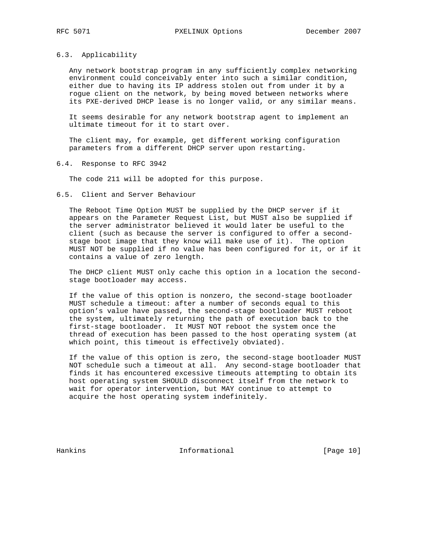# 6.3. Applicability

 Any network bootstrap program in any sufficiently complex networking environment could conceivably enter into such a similar condition, either due to having its IP address stolen out from under it by a rogue client on the network, by being moved between networks where its PXE-derived DHCP lease is no longer valid, or any similar means.

 It seems desirable for any network bootstrap agent to implement an ultimate timeout for it to start over.

 The client may, for example, get different working configuration parameters from a different DHCP server upon restarting.

6.4. Response to RFC 3942

The code 211 will be adopted for this purpose.

### 6.5. Client and Server Behaviour

 The Reboot Time Option MUST be supplied by the DHCP server if it appears on the Parameter Request List, but MUST also be supplied if the server administrator believed it would later be useful to the client (such as because the server is configured to offer a second stage boot image that they know will make use of it). The option MUST NOT be supplied if no value has been configured for it, or if it contains a value of zero length.

 The DHCP client MUST only cache this option in a location the second stage bootloader may access.

 If the value of this option is nonzero, the second-stage bootloader MUST schedule a timeout: after a number of seconds equal to this option's value have passed, the second-stage bootloader MUST reboot the system, ultimately returning the path of execution back to the first-stage bootloader. It MUST NOT reboot the system once the thread of execution has been passed to the host operating system (at which point, this timeout is effectively obviated).

 If the value of this option is zero, the second-stage bootloader MUST NOT schedule such a timeout at all. Any second-stage bootloader that finds it has encountered excessive timeouts attempting to obtain its host operating system SHOULD disconnect itself from the network to wait for operator intervention, but MAY continue to attempt to acquire the host operating system indefinitely.

Hankins 1nformational [Page 10]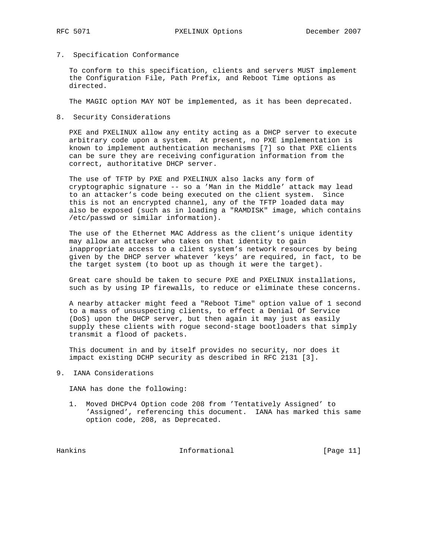7. Specification Conformance

 To conform to this specification, clients and servers MUST implement the Configuration File, Path Prefix, and Reboot Time options as directed.

The MAGIC option MAY NOT be implemented, as it has been deprecated.

8. Security Considerations

 PXE and PXELINUX allow any entity acting as a DHCP server to execute arbitrary code upon a system. At present, no PXE implementation is known to implement authentication mechanisms [7] so that PXE clients can be sure they are receiving configuration information from the correct, authoritative DHCP server.

 The use of TFTP by PXE and PXELINUX also lacks any form of cryptographic signature -- so a 'Man in the Middle' attack may lead to an attacker's code being executed on the client system. Since this is not an encrypted channel, any of the TFTP loaded data may also be exposed (such as in loading a "RAMDISK" image, which contains /etc/passwd or similar information).

 The use of the Ethernet MAC Address as the client's unique identity may allow an attacker who takes on that identity to gain inappropriate access to a client system's network resources by being given by the DHCP server whatever 'keys' are required, in fact, to be the target system (to boot up as though it were the target).

 Great care should be taken to secure PXE and PXELINUX installations, such as by using IP firewalls, to reduce or eliminate these concerns.

 A nearby attacker might feed a "Reboot Time" option value of 1 second to a mass of unsuspecting clients, to effect a Denial Of Service (DoS) upon the DHCP server, but then again it may just as easily supply these clients with rogue second-stage bootloaders that simply transmit a flood of packets.

 This document in and by itself provides no security, nor does it impact existing DCHP security as described in RFC 2131 [3].

9. IANA Considerations

IANA has done the following:

 1. Moved DHCPv4 Option code 208 from 'Tentatively Assigned' to 'Assigned', referencing this document. IANA has marked this same option code, 208, as Deprecated.

Hankins Informational [Page 11]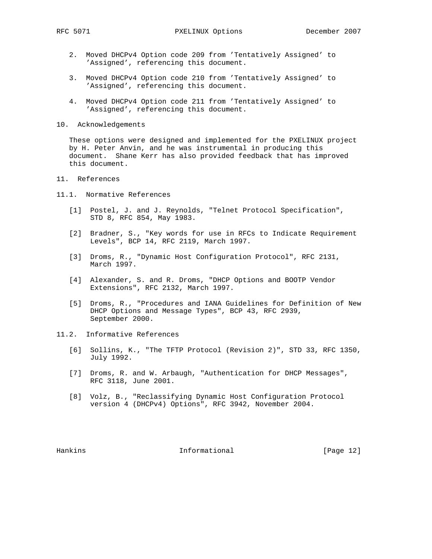- 2. Moved DHCPv4 Option code 209 from 'Tentatively Assigned' to 'Assigned', referencing this document.
- 3. Moved DHCPv4 Option code 210 from 'Tentatively Assigned' to 'Assigned', referencing this document.
- 4. Moved DHCPv4 Option code 211 from 'Tentatively Assigned' to 'Assigned', referencing this document.
- 10. Acknowledgements

 These options were designed and implemented for the PXELINUX project by H. Peter Anvin, and he was instrumental in producing this document. Shane Kerr has also provided feedback that has improved this document.

## 11. References

- 11.1. Normative References
	- [1] Postel, J. and J. Reynolds, "Telnet Protocol Specification", STD 8, RFC 854, May 1983.
	- [2] Bradner, S., "Key words for use in RFCs to Indicate Requirement Levels", BCP 14, RFC 2119, March 1997.
	- [3] Droms, R., "Dynamic Host Configuration Protocol", RFC 2131, March 1997.
	- [4] Alexander, S. and R. Droms, "DHCP Options and BOOTP Vendor Extensions", RFC 2132, March 1997.
	- [5] Droms, R., "Procedures and IANA Guidelines for Definition of New DHCP Options and Message Types", BCP 43, RFC 2939, September 2000.
- 11.2. Informative References
	- [6] Sollins, K., "The TFTP Protocol (Revision 2)", STD 33, RFC 1350, July 1992.
	- [7] Droms, R. and W. Arbaugh, "Authentication for DHCP Messages", RFC 3118, June 2001.
	- [8] Volz, B., "Reclassifying Dynamic Host Configuration Protocol version 4 (DHCPv4) Options", RFC 3942, November 2004.

Hankins Informational [Page 12]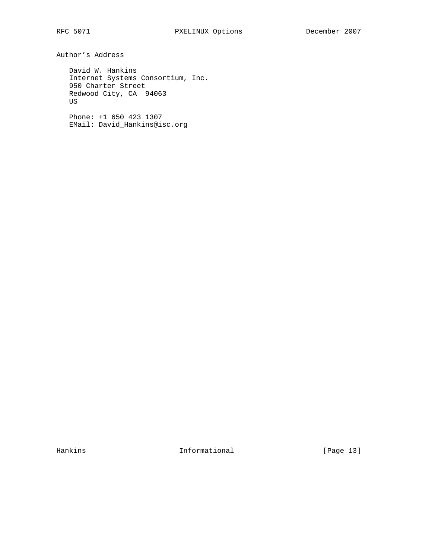Author's Address

 David W. Hankins Internet Systems Consortium, Inc. 950 Charter Street Redwood City, CA 94063 US

 Phone: +1 650 423 1307 EMail: David\_Hankins@isc.org

Hankins 10 Informational [Page 13]